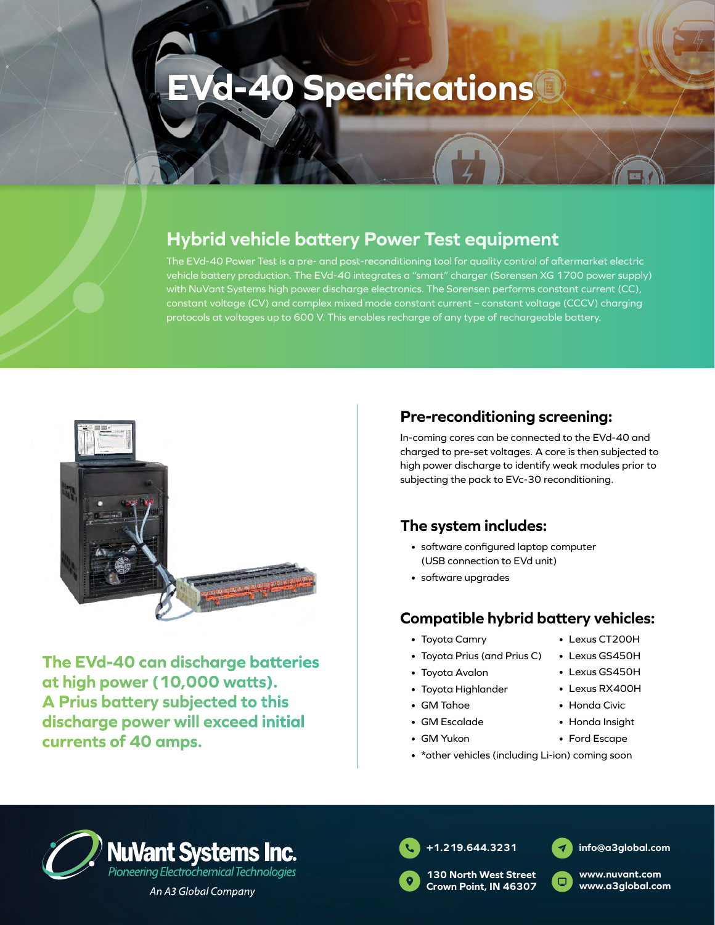# **EVd-40 Specifications**

## **Hybrid vehicle battery Power Test equipment**

The EVd-40 Power Test is a pre- and post-reconditioning tool for quality control of aftermarket electric vehicle battery production. The EVd-40 integrates a "smart" charger (Sorensen XG 1700 power supply) with NuVant Systems high power discharge electronics. The Sorensen performs constant current (CC), constant voltage (CV) and complex mixed mode constant current – constant voltage (CCCV) charging protocols at voltages up to 600 V. This enables recharge of any type of rechargeable battery.



**The EVd-40 can discharge batteries at high power (10,000 watts). A Prius battery subjected to this discharge power will exceed initial currents of 40 amps.**

#### **Pre-reconditioning screening:**

In-coming cores can be connected to the EVd-40 and charged to pre-set voltages. A core is then subjected to high power discharge to identify weak modules prior to subjecting the pack to EVc-30 reconditioning.

### **The system includes:**

- software configured laptop computer (USB connection to EVd unit)
- software upgrades

#### **Compatible hybrid battery vehicles:**

- Toyota Camry
- Toyota Prius (and Prius C)
- Toyota Avalon
- Toyota Highlander
- GM Tahoe
- GM Escalade
- GM Yukon
- \*other vehicles (including Li-ion) coming soon



An A3 Global Company



**130 North West Street Crown Point, IN 46307**



**www.nuvant.com www.a3global.com**



- Lexus GS450H
- Lexus GS450H
- Lexus RX400H
- Honda Civic
- Honda Insight
- Ford Escape